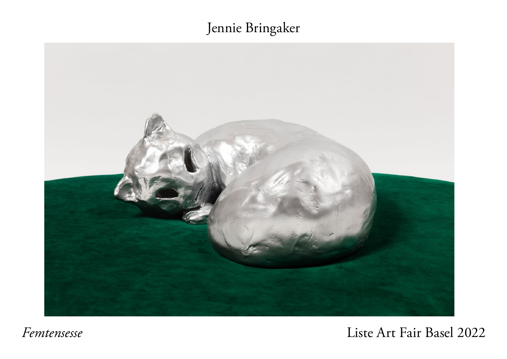## Jennie Bringaker



*Femtensesse*

Liste Art Fair Basel 2022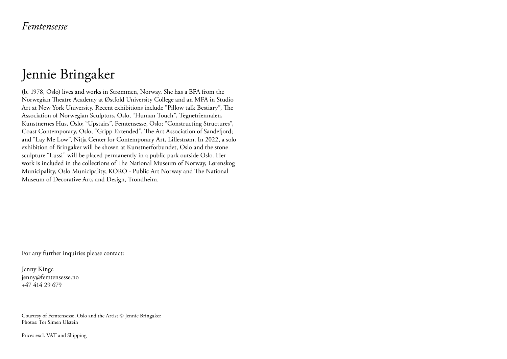## Jennie Bringaker

(b. 1978, Oslo) lives and works in Strømmen, Norway. She has a BFA from the Norwegian Theatre Academy at Østfold University College and an MFA in Studio Art at New York University. Recent exhibitions include "Pillow talk Bestiary", The Association of Norwegian Sculptors, Oslo, "Human Touch", Tegnetriennalen, Kunstnernes Hus, Oslo; "Upstairs", Femtensesse, Oslo; "Constructing Structures", Coast Contemporary, Oslo; "Gripp Extended", The Art Association of Sandefjord; and "Lay Me Low", Nitja Center for Contemporary Art, Lillestrøm. In 2022, a solo exhibition of Bringaker will be shown at Kunstnerforbundet, Oslo and the stone sculpture "Lussi" will be placed permanently in a public park outside Oslo. Her work is included in the collections of The National Museum of Norway, Lørenskog Municipality, Oslo Municipality, KORO - Public Art Norway and The National Museum of Decorative Arts and Design, Trondheim.

For any further inquiries please contact:

Jenny Kinge [jenny@femtensesse.no](mailto:jenny%40femtensesse.no?subject=Inquiry%20%7C%20Jenny%20Bringaker) +47 414 29 679

Courtesy of Femtensesse, Oslo and the Artist © Jennie Bringaker Photos: Tor Simen Ulstein

Prices excl. VAT and Shipping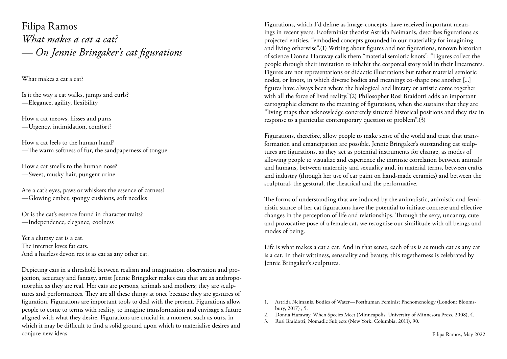Filipa Ramos *What makes a cat a cat? — On Jennie Bringaker's cat figurations*

What makes a cat a cat?

Is it the way a cat walks, jumps and curls? —Elegance, agility, flexibility

How a cat meows, hisses and purrs —Urgency, intimidation, comfort?

How a cat feels to the human hand? —The warm softness of fur, the sandpaperness of tongue

How a cat smells to the human nose? —Sweet, musky hair, pungent urine

Are a cat's eyes, paws or whiskers the essence of catness? —Glowing ember, spongy cushions, soft needles

Or is the cat's essence found in character traits? —Independence, elegance, coolness

Yet a clumsy cat is a cat. The internet loves fat cats. And a hairless devon rex is as cat as any other cat.

Depicting cats in a threshold between realism and imagination, observation and projection, accuracy and fantasy, artist Jennie Bringaker makes cats that are as anthropomorphic as they are real. Her cats are persons, animals and mothers; they are sculptures and performances. They are all these things at once because they are gestures of figuration. Figurations are important tools to deal with the present. Figurations allow people to come to terms with reality, to imagine transformation and envisage a future aligned with what they desire. Figurations are crucial in a moment such as ours, in which it may be difficult to find a solid ground upon which to materialise desires and conjure new ideas.

Figurations, which I'd define as image-concepts, have received important meanings in recent years. Ecofeminist theorist Astrida Neimanis, describes figurations as projected entities, "embodied concepts grounded in our materiality for imagining and living otherwise".(1) Writing about figures and not figurations, renown historian of science Donna Haraway calls them "material semiotic knots": "Figures collect the people through their invitation to inhabit the corporeal story told in their lineaments. Figures are not representations or didactic illustrations but rather material semiotic nodes, or knots, in which diverse bodies and meanings co-shape one another [...] figures have always been where the biological and literary or artistic come together with all the force of lived reality."(2) Philosopher Rosi Braidotti adds an important cartographic element to the meaning of figurations, when she sustains that they are "living maps that acknowledge concretely situated historical positions and they rise in response to a particular contemporary question or problem".(3)

Figurations, therefore, allow people to make sense of the world and trust that transformation and emancipation are possible. Jennie Bringaker's outstanding cat sculptures are figurations, as they act as potential instruments for change, as modes of allowing people to visualize and experience the intrinsic correlation between animals and humans, between maternity and sexuality and, in material terms, between crafts and industry (through her use of car paint on hand-made ceramics) and between the sculptural, the gestural, the theatrical and the performative.

The forms of understanding that are induced by the animalistic, animistic and feministic stance of her cat figurations have the potential to initiate concrete and effective changes in the perception of life and relationships. Through the sexy, uncanny, cute and provocative pose of a female cat, we recognise our similitude with all beings and modes of being.

Life is what makes a cat a cat. And in that sense, each of us is as much cat as any cat is a cat. In their wittiness, sensuality and beauty, this togetherness is celebrated by Jennie Bringaker's sculptures.

- 2. Donna Haraway, When Species Meet (Minneapolis: University of Minnesota Press, 2008), 4.
- 3. Rosi Braidotti, Nomadic Subjects (New York: Columbia, 2011), 90.

<sup>1.</sup> Astrida Neimanis, Bodies of Water—Posthuman Feminist Phenomenology (London: Bloomsbury, 2017) , 5.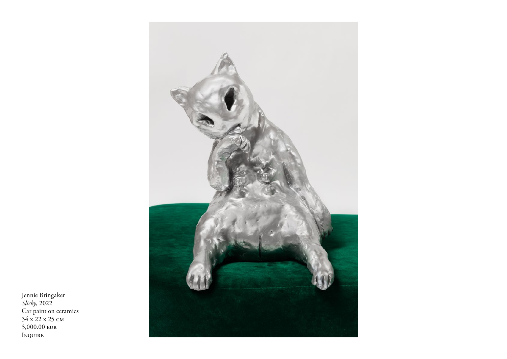

Jennie Bringaker *Slicky*, 2022 Car paint on ceramics 34 x 22 x 25 cm 3,000.00 eur [Inquire](mailto:jenny%40femtensesse.no?subject=Inquiry%20%7C%20Jennie%20Bringaker%2C%20%22Slicky%22)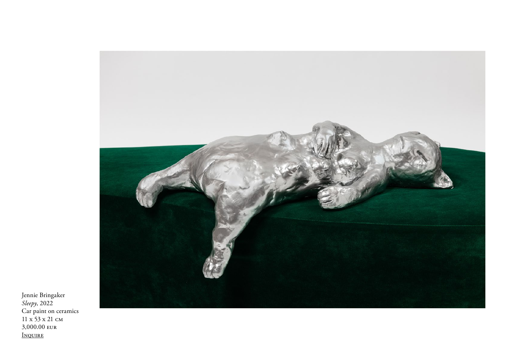

Jennie Bringaker *Sleepy*, 2022 Car paint on ceramics 11 x 53 x 21 cm 3,000.00 eur [Inquire](mailto:jenny%40femtensesse.no?subject=Inquiry%20%7C%20Jennie%20Bringaker%2C%20%22Sleepy%22)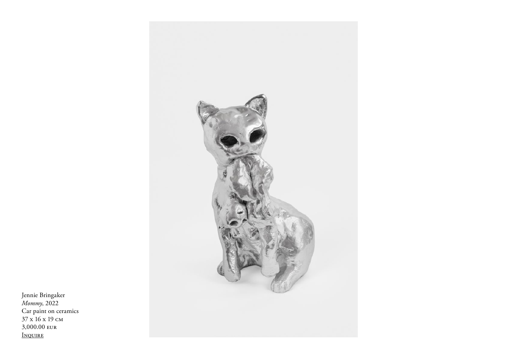

Jennie Bringaker *Mommy*, 2022 Car paint on ceramics 37 x 16 x 19 cm 3,000.00 eur [Inquire](mailto:jenny%40femtensesse.no?subject=Inquiry%20%7C%20Jennie%20Bringaker%2C%20%22Mommy%22)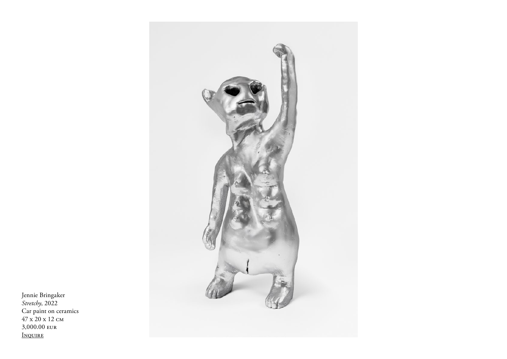

Jennie Bringaker *Stretchy*, 2022 Car paint on ceramics 47 x 20 x 12 cm 3,000.00 eur [Inquire](mailto:jenny%40femtensesse.no?subject=Inquiry%20%7C%20Jennie%20Bringaker%2C%20%22Stretchy%22)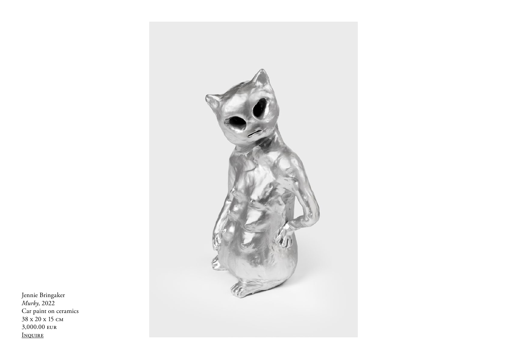

Jennie Bringaker *Murky*, 2022 Car paint on ceramics 38 x 20 x 15 cm 3,000.00 eur [Inquire](mailto:jenny%40femtensesse.no?subject=Inquiry%20%7C%20Jennie%20Bringaker%2C%20%22Murky%22)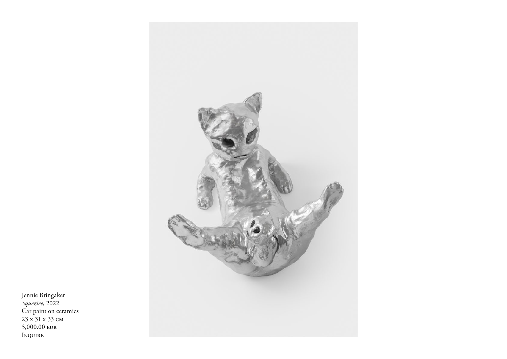

Jennie Bringaker<br>*Squeziee*, 2022<br>Car paint on ceramics<br>23 x 31 x 33 cm 3,000.00 EUR INQUIRE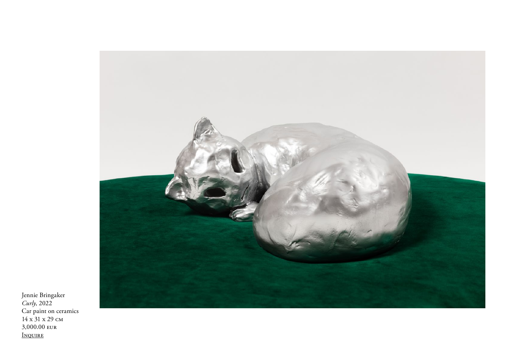

Jennie Bringaker *Curly*, 2022 Car paint on ceramics 14 x 31 x 29 cm 3,000.00 eur [Inquire](mailto:jenny%40femtensesse.no?subject=Inquiry%20%7C%20Jennie%20Bringaker%2C%20%22Curly%22)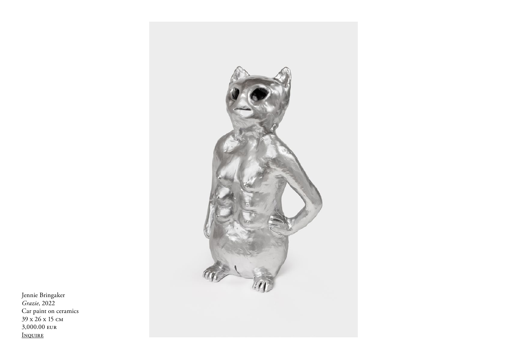

Jennie Bringaker *Grazie*, 2022 Car paint on ceramics 39 x 26 x 15 cm 3,000.00 eur [Inquire](mailto:jenny%40femtensesse.no?subject=Inquiry%20%7C%20Jennie%20Bringaker%2C%20%22Grazie%22)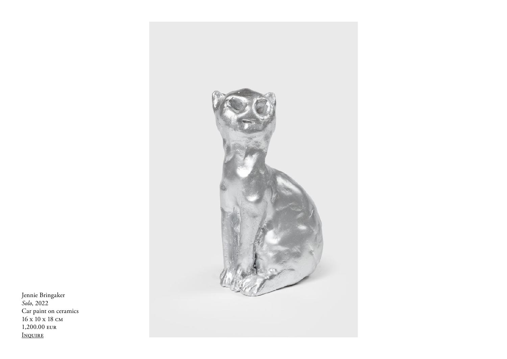

Jennie Bringaker<br>*Solo*, 2022<br>Car paint on ceramics  $16 \times 10 \times 18$  CM 1,200.00 EUR INQUIRE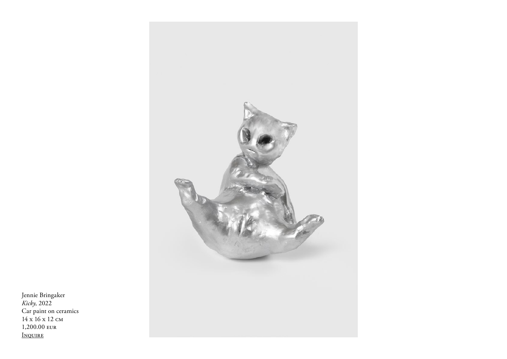

Jennie Bringaker<br>*Kicky*, 2022<br>Car paint on ceramics<br>14 x 16 x 12 cm 1,200.00 eur INQUIRE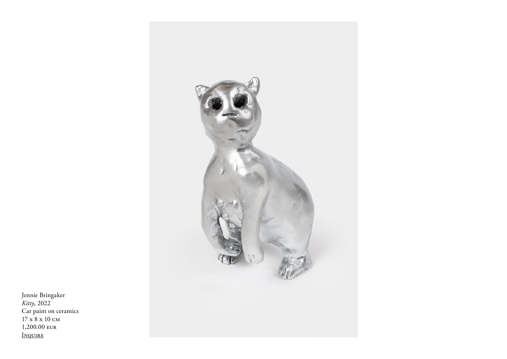

Jennie Bringaker *Kitty*, 2022 Car paint on ceramics 17 x 8 x 10 cm 1,200.00 eur [Inquire](mailto:jenny%40femtensesse.no?subject=Inquiry%20%7C%20Jennie%20Bringaker%2C%20%22Kitty%22)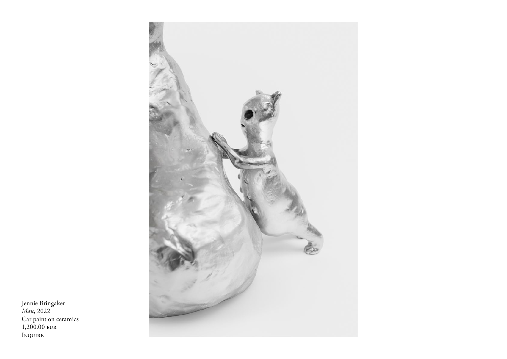

Jennie Bringaker<br>Mau, 2022 Car paint on ceramics<br>1,200.00 EUR INQUIRE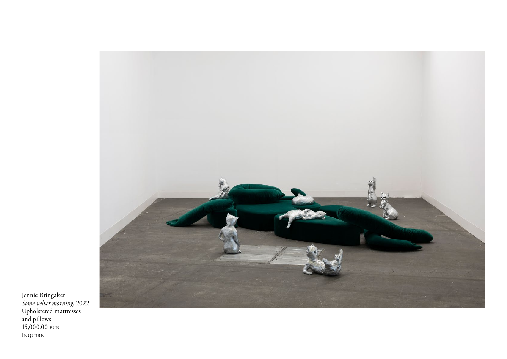

Jennie Bringaker *Some velvet morning*, 2022 Upholstered mattresses and pillows 15,000.00 eur [Inquire](mailto:jenny%40femtensesse.no?subject=Inquiry%20%7C%20Jennie%20Bringaker%2C%20%22Some%20velvet%20morning%22)